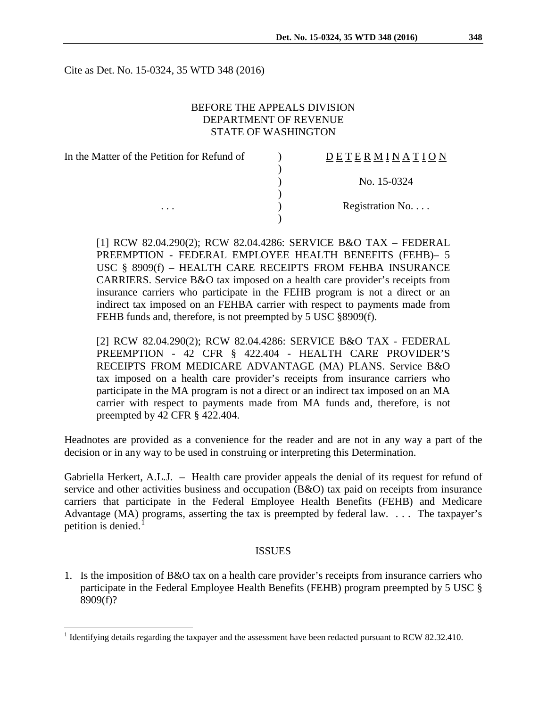Cite as Det. No. 15-0324, 35 WTD 348 (2016)

## BEFORE THE APPEALS DIVISION DEPARTMENT OF REVENUE STATE OF WASHINGTON

| DETERMINATION   |
|-----------------|
|                 |
| No. 15-0324     |
|                 |
| Registration No |
|                 |
|                 |

[1] RCW 82.04.290(2); RCW 82.04.4286: SERVICE B&O TAX – FEDERAL PREEMPTION - FEDERAL EMPLOYEE HEALTH BENEFITS (FEHB)– 5 USC § 8909(f) – HEALTH CARE RECEIPTS FROM FEHBA INSURANCE CARRIERS. Service B&O tax imposed on a health care provider's receipts from insurance carriers who participate in the FEHB program is not a direct or an indirect tax imposed on an FEHBA carrier with respect to payments made from FEHB funds and, therefore, is not preempted by 5 USC §8909(f).

[2] RCW 82.04.290(2); RCW 82.04.4286: SERVICE B&O TAX - FEDERAL PREEMPTION - 42 CFR § 422.404 - HEALTH CARE PROVIDER'S RECEIPTS FROM MEDICARE ADVANTAGE (MA) PLANS. Service B&O tax imposed on a health care provider's receipts from insurance carriers who participate in the MA program is not a direct or an indirect tax imposed on an MA carrier with respect to payments made from MA funds and, therefore, is not preempted by 42 CFR § 422.404.

Headnotes are provided as a convenience for the reader and are not in any way a part of the decision or in any way to be used in construing or interpreting this Determination.

Gabriella Herkert, A.L.J. – Health care provider appeals the denial of its request for refund of service and other activities business and occupation (B&O) tax paid on receipts from insurance carriers that participate in the Federal Employee Health Benefits (FEHB) and Medicare Advantage (MA) programs, asserting the tax is preempted by federal law. . . . The taxpayer's petition is denied.<sup>[1](#page-0-0)</sup>

### ISSUES

1. Is the imposition of B&O tax on a health care provider's receipts from insurance carriers who participate in the Federal Employee Health Benefits (FEHB) program preempted by 5 USC § 8909(f)?

<span id="page-0-0"></span><sup>&</sup>lt;sup>1</sup> Identifying details regarding the taxpayer and the assessment have been redacted pursuant to RCW 82.32.410.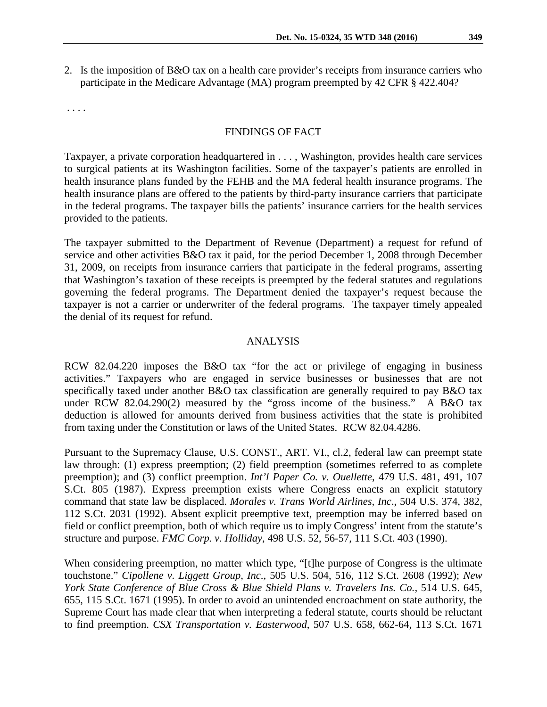2. Is the imposition of B&O tax on a health care provider's receipts from insurance carriers who participate in the Medicare Advantage (MA) program preempted by 42 CFR § 422.404?

. . . .

#### FINDINGS OF FACT

Taxpayer, a private corporation headquartered in . . . , Washington, provides health care services to surgical patients at its Washington facilities. Some of the taxpayer's patients are enrolled in health insurance plans funded by the FEHB and the MA federal health insurance programs. The health insurance plans are offered to the patients by third-party insurance carriers that participate in the federal programs. The taxpayer bills the patients' insurance carriers for the health services provided to the patients.

The taxpayer submitted to the Department of Revenue (Department) a request for refund of service and other activities B&O tax it paid, for the period December 1, 2008 through December 31, 2009, on receipts from insurance carriers that participate in the federal programs, asserting that Washington's taxation of these receipts is preempted by the federal statutes and regulations governing the federal programs. The Department denied the taxpayer's request because the taxpayer is not a carrier or underwriter of the federal programs. The taxpayer timely appealed the denial of its request for refund.

## ANALYSIS

RCW 82.04.220 imposes the B&O tax "for the act or privilege of engaging in business activities." Taxpayers who are engaged in service businesses or businesses that are not specifically taxed under another B&O tax classification are generally required to pay B&O tax under RCW 82.04.290(2) measured by the "gross income of the business." A B&O tax deduction is allowed for amounts derived from business activities that the state is prohibited from taxing under the Constitution or laws of the United States. RCW 82.04.4286.

Pursuant to the Supremacy Clause, U.S. CONST., ART. VI., cl.2, federal law can preempt state law through: (1) express preemption; (2) field preemption (sometimes referred to as complete preemption); and (3) conflict preemption. *Int'l Paper Co. v. Ouellette*, 479 U.S. 481, 491, 107 S.Ct. 805 (1987). Express preemption exists where Congress enacts an explicit statutory command that state law be displaced. *Morales v. Trans World Airlines, Inc*., 504 U.S. 374, 382, 112 S.Ct. 2031 (1992). Absent explicit preemptive text, preemption may be inferred based on field or conflict preemption, both of which require us to imply Congress' intent from the statute's structure and purpose. *FMC Corp. v. Holliday*, 498 U.S. 52, 56-57, 111 S.Ct. 403 (1990).

When considering preemption, no matter which type, "[t]he purpose of Congress is the ultimate touchstone." *Cipollene v. Liggett Group, Inc*., 505 U.S. 504, 516, 112 S.Ct. 2608 (1992); *New York State Conference of Blue Cross & Blue Shield Plans v. Travelers Ins. Co.,* 514 U.S. 645, 655, 115 S.Ct. 1671 (1995). In order to avoid an unintended encroachment on state authority, the Supreme Court has made clear that when interpreting a federal statute, courts should be reluctant to find preemption. *CSX Transportation v. Easterwood*, 507 U.S. 658, 662-64, 113 S.Ct. 1671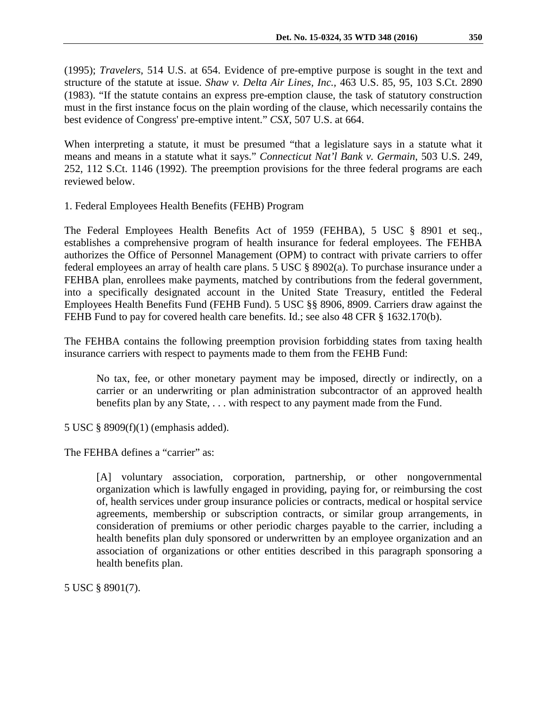(1995); *Travelers*, 514 U.S. at 654. Evidence of pre-emptive purpose is sought in the text and structure of the statute at issue. *Shaw v. Delta Air Lines, Inc.,* 463 U.S. 85, 95, 103 S.Ct. 2890 (1983). "If the statute contains an express pre-emption clause, the task of statutory construction must in the first instance focus on the plain wording of the clause, which necessarily contains the best evidence of Congress' pre-emptive intent." *CSX*, 507 U.S. at 664.

When interpreting a statute, it must be presumed "that a legislature says in a statute what it means and means in a statute what it says." *Connecticut Nat'l Bank v. Germain*, 503 U.S. 249, 252, 112 S.Ct. 1146 (1992). The preemption provisions for the three federal programs are each reviewed below.

1. Federal Employees Health Benefits (FEHB) Program

The Federal Employees Health Benefits Act of 1959 (FEHBA), 5 USC § 8901 et seq., establishes a comprehensive program of health insurance for federal employees. The FEHBA authorizes the Office of Personnel Management (OPM) to contract with private carriers to offer federal employees an array of health care plans. 5 USC § 8902(a). To purchase insurance under a FEHBA plan, enrollees make payments, matched by contributions from the federal government, into a specifically designated account in the United State Treasury, entitled the Federal Employees Health Benefits Fund (FEHB Fund). 5 USC §§ 8906, 8909. Carriers draw against the FEHB Fund to pay for covered health care benefits. Id.; see also 48 CFR § 1632.170(b).

The FEHBA contains the following preemption provision forbidding states from taxing health insurance carriers with respect to payments made to them from the FEHB Fund:

No tax, fee, or other monetary payment may be imposed, directly or indirectly, on a carrier or an underwriting or plan administration subcontractor of an approved health benefits plan by any State, . . . with respect to any payment made from the Fund.

5 USC § 8909(f)(1) (emphasis added).

The FEHBA defines a "carrier" as:

[A] voluntary association, corporation, partnership, or other nongovernmental organization which is lawfully engaged in providing, paying for, or reimbursing the cost of, health services under group insurance policies or contracts, medical or hospital service agreements, membership or subscription contracts, or similar group arrangements, in consideration of premiums or other periodic charges payable to the carrier, including a health benefits plan duly sponsored or underwritten by an employee organization and an association of organizations or other entities described in this paragraph sponsoring a health benefits plan.

5 USC § 8901(7).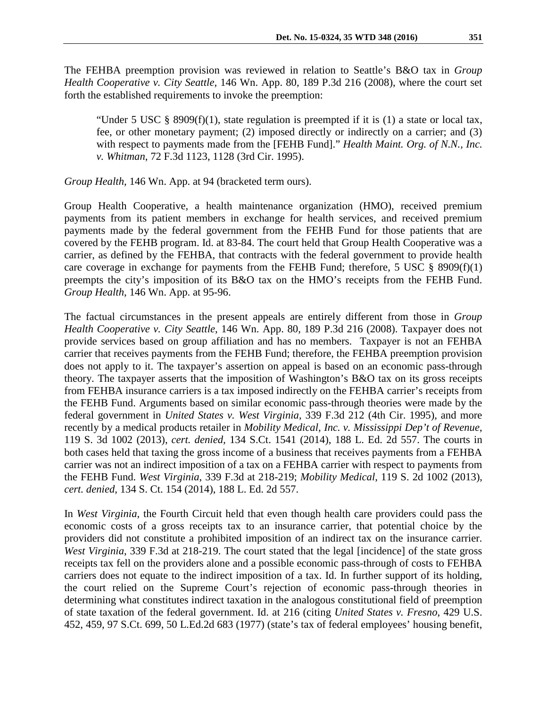The FEHBA preemption provision was reviewed in relation to Seattle's B&O tax in *Group Health Cooperative v. City Seattle*, 146 Wn. App. 80, 189 P.3d 216 (2008), where the court set forth the established requirements to invoke the preemption:

"Under 5 USC  $\S$  8909(f)(1), state regulation is preempted if it is (1) a state or local tax, fee, or other monetary payment; (2) imposed directly or indirectly on a carrier; and (3) with respect to payments made from the [FEHB Fund]." *Health Maint. Org. of N.N., Inc. v. Whitman*, 72 F.3d 1123, 1128 (3rd Cir. 1995).

*Group Health*, 146 Wn. App. at 94 (bracketed term ours).

Group Health Cooperative, a health maintenance organization (HMO), received premium payments from its patient members in exchange for health services, and received premium payments made by the federal government from the FEHB Fund for those patients that are covered by the FEHB program. Id. at 83-84. The court held that Group Health Cooperative was a carrier, as defined by the FEHBA, that contracts with the federal government to provide health care coverage in exchange for payments from the FEHB Fund; therefore, 5 USC  $\S$  8909(f)(1) preempts the city's imposition of its B&O tax on the HMO's receipts from the FEHB Fund. *Group Health*, 146 Wn. App. at 95-96.

The factual circumstances in the present appeals are entirely different from those in *Group Health Cooperative v. City Seattle*, 146 Wn. App. 80, 189 P.3d 216 (2008). Taxpayer does not provide services based on group affiliation and has no members. Taxpayer is not an FEHBA carrier that receives payments from the FEHB Fund; therefore, the FEHBA preemption provision does not apply to it. The taxpayer's assertion on appeal is based on an economic pass-through theory. The taxpayer asserts that the imposition of Washington's B&O tax on its gross receipts from FEHBA insurance carriers is a tax imposed indirectly on the FEHBA carrier's receipts from the FEHB Fund. Arguments based on similar economic pass-through theories were made by the federal government in *United States v. West Virginia*, 339 F.3d 212 (4th Cir. 1995), and more recently by a medical products retailer in *Mobility Medical, Inc. v. Mississippi Dep't of Revenue*, 119 S. 3d 1002 (2013), *cert. denied,* 134 S.Ct. 1541 (2014), 188 L. Ed. 2d 557. The courts in both cases held that taxing the gross income of a business that receives payments from a FEHBA carrier was not an indirect imposition of a tax on a FEHBA carrier with respect to payments from the FEHB Fund. *West Virginia*, 339 F.3d at 218-219; *Mobility Medical*, 119 S. 2d 1002 (2013), *cert. denied,* 134 S. Ct. 154 (2014), 188 L. Ed. 2d 557.

In *West Virginia*, the Fourth Circuit held that even though health care providers could pass the economic costs of a gross receipts tax to an insurance carrier, that potential choice by the providers did not constitute a prohibited imposition of an indirect tax on the insurance carrier. *West Virginia*, 339 F.3d at 218-219. The court stated that the legal [incidence] of the state gross receipts tax fell on the providers alone and a possible economic pass-through of costs to FEHBA carriers does not equate to the indirect imposition of a tax. Id. In further support of its holding, the court relied on the Supreme Court's rejection of economic pass-through theories in determining what constitutes indirect taxation in the analogous constitutional field of preemption of state taxation of the federal government. Id. at 216 (citing *United States v. Fresno*, 429 U.S. 452, 459, 97 S.Ct. 699, 50 L.Ed.2d 683 (1977) (state's tax of federal employees' housing benefit,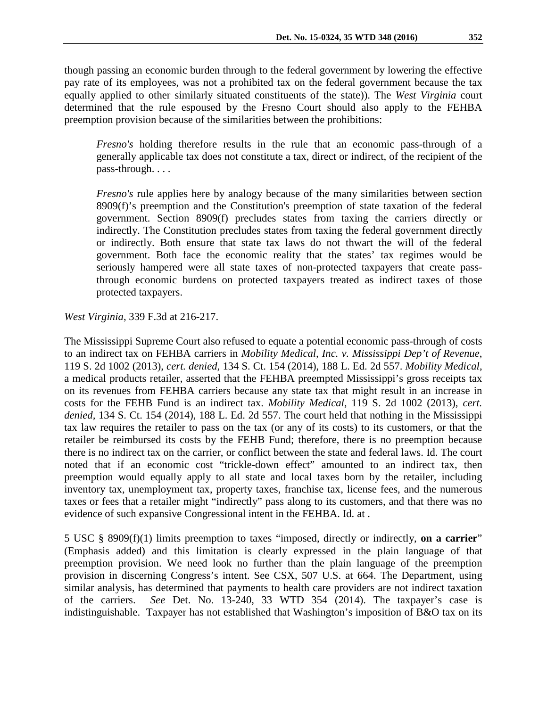though passing an economic burden through to the federal government by lowering the effective pay rate of its employees, was not a prohibited tax on the federal government because the tax equally applied to other similarly situated constituents of the state)). The *West Virginia* court determined that the rule espoused by the Fresno Court should also apply to the FEHBA preemption provision because of the similarities between the prohibitions:

*Fresno's* holding therefore results in the rule that an economic pass-through of a generally applicable tax does not constitute a tax, direct or indirect, of the recipient of the pass-through. . . .

*Fresno's* rule applies here by analogy because of the many similarities between section 8909(f)'s preemption and the Constitution's preemption of state taxation of the federal government. Section 8909(f) precludes states from taxing the carriers directly or indirectly. The Constitution precludes states from taxing the federal government directly or indirectly. Both ensure that state tax laws do not thwart the will of the federal government. Both face the economic reality that the states' tax regimes would be seriously hampered were all state taxes of non-protected taxpayers that create passthrough economic burdens on protected taxpayers treated as indirect taxes of those protected taxpayers.

*West Virginia*, 339 F.3d at 216-217.

The Mississippi Supreme Court also refused to equate a potential economic pass-through of costs to an indirect tax on FEHBA carriers in *Mobility Medical, Inc. v. Mississippi Dep't of Revenue*, 119 S. 2d 1002 (2013), *cert. denied,* 134 S. Ct. 154 (2014), 188 L. Ed. 2d 557. *Mobility Medical*, a medical products retailer, asserted that the FEHBA preempted Mississippi's gross receipts tax on its revenues from FEHBA carriers because any state tax that might result in an increase in costs for the FEHB Fund is an indirect tax. *Mobility Medical*, 119 S. 2d 1002 (2013), *cert. denied,* 134 S. Ct. 154 (2014), 188 L. Ed. 2d 557. The court held that nothing in the Mississippi tax law requires the retailer to pass on the tax (or any of its costs) to its customers, or that the retailer be reimbursed its costs by the FEHB Fund; therefore, there is no preemption because there is no indirect tax on the carrier, or conflict between the state and federal laws. Id. The court noted that if an economic cost "trickle-down effect" amounted to an indirect tax, then preemption would equally apply to all state and local taxes born by the retailer, including inventory tax, unemployment tax, property taxes, franchise tax, license fees, and the numerous taxes or fees that a retailer might "indirectly" pass along to its customers, and that there was no evidence of such expansive Congressional intent in the FEHBA. Id. at .

5 USC § 8909(f)(1) limits preemption to taxes "imposed, directly or indirectly, **on a carrier**" (Emphasis added) and this limitation is clearly expressed in the plain language of that preemption provision. We need look no further than the plain language of the preemption provision in discerning Congress's intent. See CSX, 507 U.S. at 664. The Department, using similar analysis, has determined that payments to health care providers are not indirect taxation of the carriers. *See* Det. No. 13-240, 33 WTD 354 (2014). The taxpayer's case is indistinguishable. Taxpayer has not established that Washington's imposition of B&O tax on its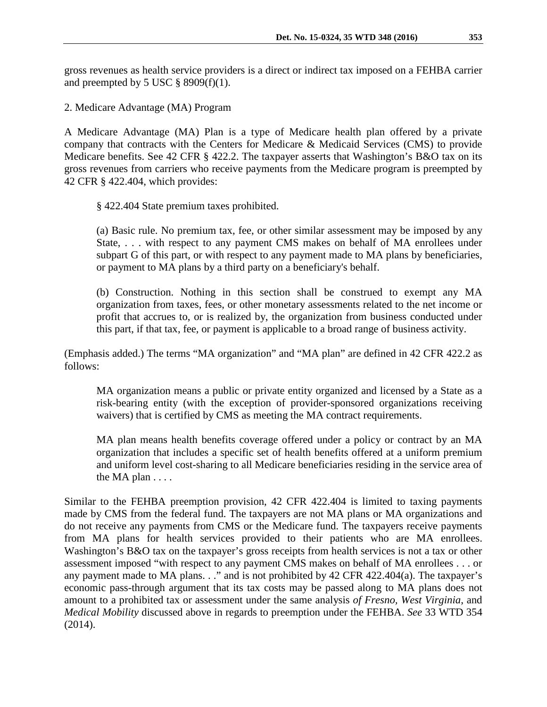gross revenues as health service providers is a direct or indirect tax imposed on a FEHBA carrier and preempted by 5 USC  $\S$  8909(f)(1).

2. Medicare Advantage (MA) Program

A Medicare Advantage (MA) Plan is a type of Medicare health plan offered by a private company that contracts with the Centers for Medicare & Medicaid Services (CMS) to provide Medicare benefits. See 42 CFR § 422.2. The taxpayer asserts that Washington's B&O tax on its gross revenues from carriers who receive payments from the Medicare program is preempted by 42 CFR § 422.404, which provides:

§ 422.404 State premium taxes prohibited.

(a) Basic rule. No premium tax, fee, or other similar assessment may be imposed by any State, . . . with respect to any payment CMS makes on behalf of MA enrollees under subpart G of this part, or with respect to any payment made to MA plans by beneficiaries, or payment to MA plans by a third party on a beneficiary's behalf.

(b) Construction. Nothing in this section shall be construed to exempt any MA organization from taxes, fees, or other monetary assessments related to the net income or profit that accrues to, or is realized by, the organization from business conducted under this part, if that tax, fee, or payment is applicable to a broad range of business activity.

(Emphasis added.) The terms "MA organization" and "MA plan" are defined in 42 CFR 422.2 as follows:

MA organization means a public or private entity organized and licensed by a State as a risk-bearing entity (with the exception of provider-sponsored organizations receiving waivers) that is certified by CMS as meeting the MA contract requirements.

MA plan means health benefits coverage offered under a policy or contract by an MA organization that includes a specific set of health benefits offered at a uniform premium and uniform level cost-sharing to all Medicare beneficiaries residing in the service area of the MA plan . . . .

Similar to the FEHBA preemption provision, 42 CFR 422.404 is limited to taxing payments made by CMS from the federal fund. The taxpayers are not MA plans or MA organizations and do not receive any payments from CMS or the Medicare fund. The taxpayers receive payments from MA plans for health services provided to their patients who are MA enrollees. Washington's B&O tax on the taxpayer's gross receipts from health services is not a tax or other assessment imposed "with respect to any payment CMS makes on behalf of MA enrollees . . . or any payment made to MA plans. . ." and is not prohibited by 42 CFR 422.404(a). The taxpayer's economic pass-through argument that its tax costs may be passed along to MA plans does not amount to a prohibited tax or assessment under the same analysis *of Fresno, West Virginia*, and *Medical Mobility* discussed above in regards to preemption under the FEHBA. *See* 33 WTD 354 (2014).